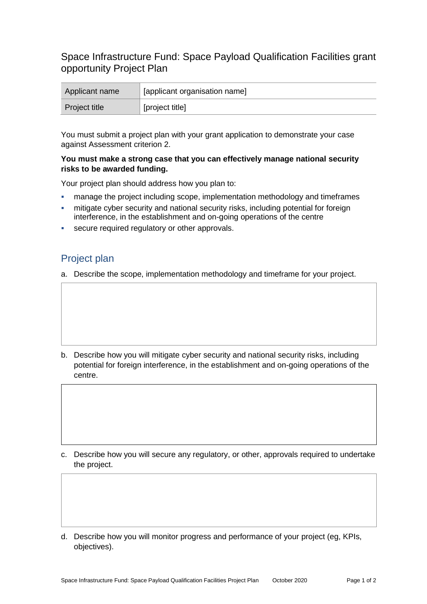## Space Infrastructure Fund: Space Payload Qualification Facilities grant opportunity Project Plan

| Applicant name       | [applicant organisation name] |
|----------------------|-------------------------------|
| <b>Project title</b> | [project title]               |

You must submit a project plan with your grant application to demonstrate your case against Assessment criterion 2.

## **You must make a strong case that you can effectively manage national security risks to be awarded funding.**

Your project plan should address how you plan to:

- manage the project including scope, implementation methodology and timeframes
- mitigate cyber security and national security risks, including potential for foreign interference, in the establishment and on-going operations of the centre
- secure required regulatory or other approvals.

## Project plan

a. Describe the scope, implementation methodology and timeframe for your project.

b. Describe how you will mitigate cyber security and national security risks, including potential for foreign interference, in the establishment and on-going operations of the centre.

c. Describe how you will secure any regulatory, or other, approvals required to undertake the project.

d. Describe how you will monitor progress and performance of your project (eg, KPIs, objectives).